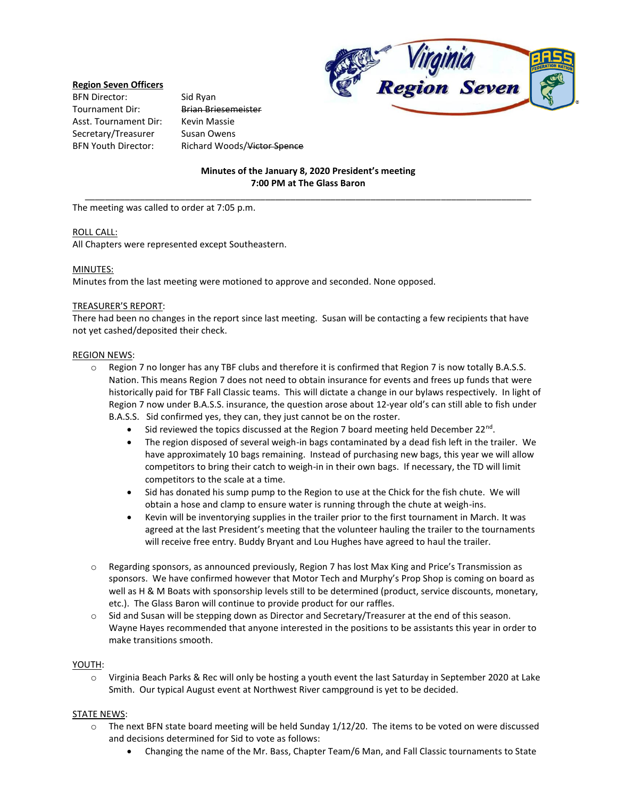### **Region Seven Officers**

BFN Director: Sid Ryan Tournament Dir: Brian Briesemeister Asst. Tournament Dir: Kevin Massie Secretary/Treasurer Susan Owens

BFN Youth Director: Richard Woods/Victor Spence



# **Minutes of the January 8, 2020 President's meeting 7:00 PM at The Glass Baron** \_\_\_\_\_\_\_\_\_\_\_\_\_\_\_\_\_\_\_\_\_\_\_\_\_\_\_\_\_\_\_\_\_\_\_\_\_\_\_\_\_\_\_\_\_\_\_\_\_\_\_\_\_\_\_\_\_\_\_\_\_\_\_\_\_\_\_\_\_\_\_\_\_\_\_\_\_\_\_\_\_\_\_\_\_\_\_\_\_

The meeting was called to order at 7:05 p.m.

### ROLL CALL:

All Chapters were represented except Southeastern.

### MINUTES:

Minutes from the last meeting were motioned to approve and seconded. None opposed.

### TREASURER'S REPORT:

There had been no changes in the report since last meeting. Susan will be contacting a few recipients that have not yet cashed/deposited their check.

### REGION NEWS:

- $\circ$  Region 7 no longer has any TBF clubs and therefore it is confirmed that Region 7 is now totally B.A.S.S. Nation. This means Region 7 does not need to obtain insurance for events and frees up funds that were historically paid for TBF Fall Classic teams. This will dictate a change in our bylaws respectively. In light of Region 7 now under B.A.S.S. insurance, the question arose about 12-year old's can still able to fish under B.A.S.S. Sid confirmed yes, they can, they just cannot be on the roster.
	- Sid reviewed the topics discussed at the Region 7 board meeting held December 22<sup>nd</sup>.
	- The region disposed of several weigh-in bags contaminated by a dead fish left in the trailer. We have approximately 10 bags remaining. Instead of purchasing new bags, this year we will allow competitors to bring their catch to weigh-in in their own bags. If necessary, the TD will limit competitors to the scale at a time.
	- Sid has donated his sump pump to the Region to use at the Chick for the fish chute. We will obtain a hose and clamp to ensure water is running through the chute at weigh-ins.
	- Kevin will be inventorying supplies in the trailer prior to the first tournament in March. It was agreed at the last President's meeting that the volunteer hauling the trailer to the tournaments will receive free entry. Buddy Bryant and Lou Hughes have agreed to haul the trailer.
- o Regarding sponsors, as announced previously, Region 7 has lost Max King and Price's Transmission as sponsors. We have confirmed however that Motor Tech and Murphy's Prop Shop is coming on board as well as H & M Boats with sponsorship levels still to be determined (product, service discounts, monetary, etc.). The Glass Baron will continue to provide product for our raffles.
- o Sid and Susan will be stepping down as Director and Secretary/Treasurer at the end of this season. Wayne Hayes recommended that anyone interested in the positions to be assistants this year in order to make transitions smooth.

#### YOUTH:

o Virginia Beach Parks & Rec will only be hosting a youth event the last Saturday in September 2020 at Lake Smith. Our typical August event at Northwest River campground is yet to be decided.

## STATE NEWS:

- $\circ$  The next BFN state board meeting will be held Sunday 1/12/20. The items to be voted on were discussed and decisions determined for Sid to vote as follows:
	- Changing the name of the Mr. Bass, Chapter Team/6 Man, and Fall Classic tournaments to State